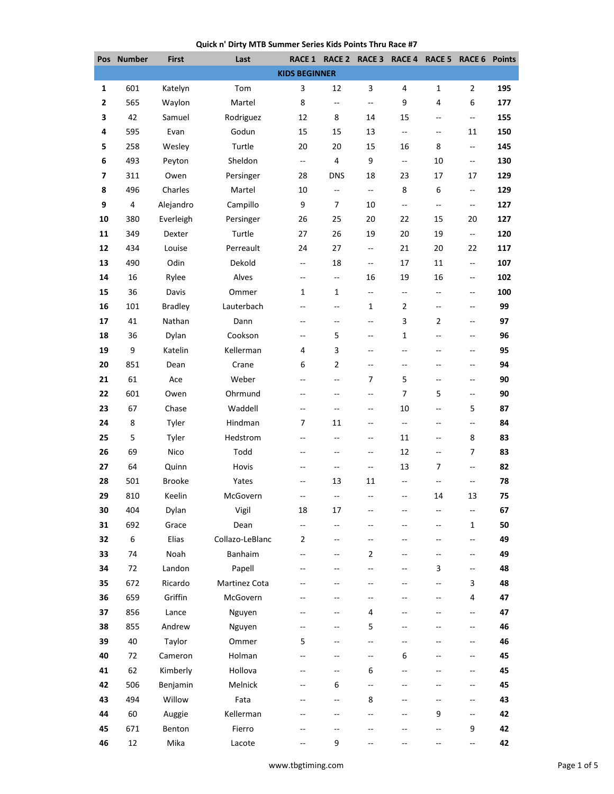## **Quick n' Dirty MTB Summer Series Kids Points Thru Race #7**

|              | Pos Number | <b>First</b>   | Last            |                          | RACE 1 RACE 2 RACE 3 RACE 4 RACE 5 |                          |                             |                          | RACE 6                   | <b>Points</b> |
|--------------|------------|----------------|-----------------|--------------------------|------------------------------------|--------------------------|-----------------------------|--------------------------|--------------------------|---------------|
|              |            |                |                 | <b>KIDS BEGINNER</b>     |                                    |                          |                             |                          |                          |               |
| 1            | 601        | Katelyn        | Tom             | 3                        | 12                                 | 3                        | 4                           | 1                        | 2                        | 195           |
| $\mathbf{2}$ | 565        | Waylon         | Martel          | 8                        | Ξ.                                 | Щ,                       | 9                           | 4                        | 6                        | 177           |
| 3            | 42         | Samuel         | Rodriguez       | 12                       | 8                                  | 14                       | 15                          | --                       | --                       | 155           |
| 4            | 595        | Evan           | Godun           | 15                       | 15                                 | 13                       | $\mathbb{L}^{\mathbb{L}}$   | $\overline{\phantom{a}}$ | 11                       | 150           |
| 5            | 258        | Wesley         | Turtle          | 20                       | 20                                 | 15                       | 16                          | 8                        | $\overline{\phantom{a}}$ | 145           |
| 6            | 493        | Peyton         | Sheldon         | --                       | 4                                  | 9                        | $\mathcal{L} = \mathcal{L}$ | 10                       | --                       | 130           |
| 7            | 311        | Owen           | Persinger       | 28                       | <b>DNS</b>                         | 18                       | 23                          | 17                       | 17                       | 129           |
| 8            | 496        | Charles        | Martel          | 10                       | $\overline{\phantom{a}}$           | Ξ.                       | 8                           | 6                        | $\overline{\phantom{a}}$ | 129           |
| 9            | 4          | Alejandro      | Campillo        | 9                        | 7                                  | 10                       | $\overline{\phantom{a}}$    | Ξ.                       | --                       | 127           |
| 10           | 380        | Everleigh      | Persinger       | 26                       | 25                                 | 20                       | 22                          | 15                       | 20                       | 127           |
| 11           | 349        | Dexter         | Turtle          | 27                       | 26                                 | 19                       | 20                          | 19                       | --                       | 120           |
| 12           | 434        | Louise         | Perreault       | 24                       | 27                                 | --                       | 21                          | 20                       | 22                       | 117           |
| 13           | 490        | Odin           | Dekold          | $\overline{\phantom{a}}$ | 18                                 | $\overline{\phantom{a}}$ | 17                          | 11                       | $\overline{\phantom{a}}$ | 107           |
| 14           | 16         | Rylee          | Alves           | $\overline{\phantom{a}}$ | $\overline{\phantom{a}}$           | 16                       | 19                          | 16                       | --                       | 102           |
| 15           | 36         | Davis          | Ommer           | 1                        | 1                                  | --                       | --                          | $\overline{\phantom{a}}$ | $\overline{\phantom{a}}$ | 100           |
| 16           | 101        | <b>Bradley</b> | Lauterbach      | $\overline{a}$           | $-$                                | $\mathbf{1}$             | 2                           | $\overline{\phantom{a}}$ | $- -$                    | 99            |
| 17           | 41         | Nathan         | Dann            | $\overline{a}$           | $\overline{\phantom{a}}$           | $\overline{a}$           | 3                           | $\overline{2}$           | --                       | 97            |
| 18           | 36         | Dylan          | Cookson         | $-$                      | 5                                  | --                       | $\mathbf 1$                 | --                       | --                       | 96            |
| 19           | 9          | Katelin        | Kellerman       | 4                        | 3                                  | --                       | $-$                         | --                       | --                       | 95            |
| 20           | 851        | Dean           | Crane           | 6                        | $\overline{2}$                     | --                       | $\overline{\phantom{a}}$    | $-$                      | $\overline{a}$           | 94            |
| 21           | 61         | Ace            | Weber           | $\overline{a}$           | $-$                                | 7                        | 5                           | $-$                      | --                       | 90            |
| 22           | 601        | Owen           | Ohrmund         | --                       | $-$                                | --                       | 7                           | 5                        | $\overline{\phantom{a}}$ | 90            |
| 23           | 67         | Chase          | Waddell         | $\overline{a}$           | --                                 | --                       | 10                          | $\overline{\phantom{a}}$ | 5                        | 87            |
| 24           | 8          | Tyler          | Hindman         | 7                        | 11                                 | $-$                      | Ξ.                          | $-$                      | $\overline{a}$           | 84            |
| 25           | 5          | Tyler          | Hedstrom        | $\overline{\phantom{a}}$ | --                                 | --                       | 11                          | $\overline{\phantom{a}}$ | 8                        | 83            |
| 26           | 69         | Nico           | Todd            | --                       | $-$                                | --                       | 12                          | $\overline{\phantom{a}}$ | 7                        | 83            |
| 27           | 64         | Quinn          | Hovis           | $\overline{a}$           | $\overline{\phantom{a}}$           | --                       | 13                          | $\overline{7}$           | $\overline{\phantom{a}}$ | 82            |
| 28           | 501        | <b>Brooke</b>  | Yates           | $-\!$ $\!-$              | 13                                 | 11                       | $\overline{\phantom{a}}$    | --                       | --                       | 78            |
| 29           | 810        | Keelin         | McGovern        | $\overline{a}$           | $-$                                | --                       | $\overline{\phantom{a}}$    | 14                       | 13                       | 75            |
| 30           | 404        | Dylan          | Vigil           | 18                       | 17                                 |                          |                             |                          | --                       | 67            |
| 31           | 692        | Grace          | Dean            | --                       | --                                 |                          |                             |                          | 1                        | 50            |
| 32           | 6          | Elias          | Collazo-LeBlanc | $\overline{2}$           | --                                 | --                       | --                          | --                       | --                       | 49            |
| 33           | 74         | Noah           | Banhaim         | $\overline{a}$           | $\overline{\phantom{a}}$           | $\overline{2}$           | $-$                         | $-$                      | --                       | 49            |
| 34           | 72         | Landon         | Papell          |                          |                                    | $\overline{a}$           |                             | 3                        | $\overline{\phantom{a}}$ | 48            |
| 35           | 672        | Ricardo        | Martinez Cota   | --                       | --                                 | --                       | --                          | --                       | 3                        | 48            |
| 36           | 659        | Griffin        | McGovern        | --                       | $-$                                | --                       | --                          | --                       | 4                        | 47            |
| 37           | 856        | Lance          | Nguyen          | --                       | --                                 | 4                        | --                          | --                       | --                       | 47            |
| 38           | 855        | Andrew         | Nguyen          | --                       |                                    | 5                        | $-$                         | $\overline{a}$           | $\overline{\phantom{a}}$ | 46            |
| 39           | 40         | Taylor         | Ommer           | 5                        |                                    | --                       | $-1$                        |                          | --                       | 46            |
| 40           | 72         | Cameron        | Holman          | Щ,                       | --                                 | --                       | 6                           |                          | --                       | 45            |
| 41           | 62         | Kimberly       | Hollova         | $\qquad \qquad -$        | $\overline{\phantom{a}}$           | 6                        | --                          | --                       | --                       | 45            |
| 42           | 506        | Benjamin       | Melnick         | $\qquad \qquad -$        | 6                                  | --                       | $\overline{\phantom{a}}$    | --                       | --                       | 45            |
| 43           | 494        | Willow         | Fata            |                          |                                    | 8                        |                             |                          | $\overline{\phantom{a}}$ | 43            |
| 44           | 60         | Auggie         | Kellerman       |                          |                                    | --                       |                             | 9                        | --                       | 42            |
| 45           | 671        | Benton         | Fierro          | $\overline{a}$           | $-$                                | $-$                      | $-$                         | --                       | 9                        | 42            |
| 46           | 12         | Mika           | Lacote          | Щ,                       | 9                                  |                          |                             | --                       | L.                       | 42            |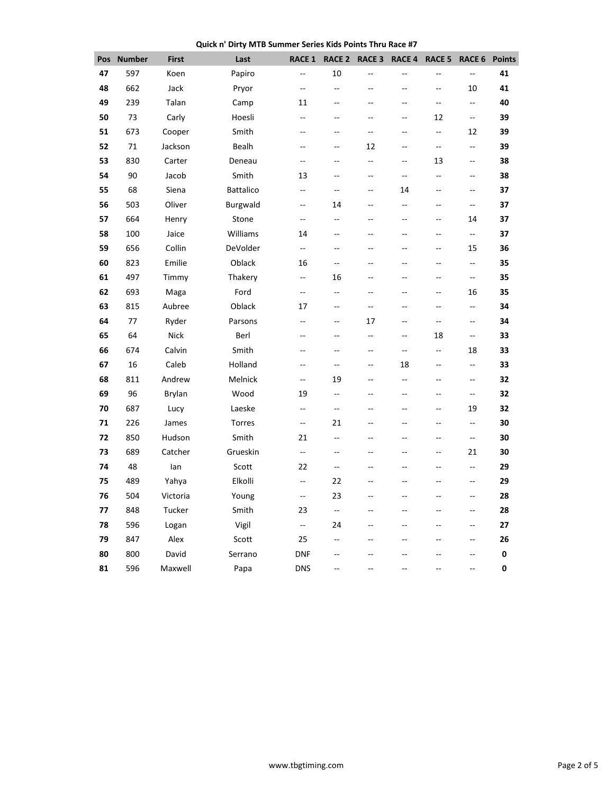**Quick n' Dirty MTB Summer Series Kids Points Thru Race #7**

| Pos | <b>Number</b> | <b>First</b>  | Last            | <b>RACE 1</b>            | RACE 2         | RACE <sub>3</sub>        | RACE 4                   | RACE 5                   | RACE 6                   | <b>Points</b> |
|-----|---------------|---------------|-----------------|--------------------------|----------------|--------------------------|--------------------------|--------------------------|--------------------------|---------------|
| 47  | 597           | Koen          | Papiro          | --                       | 10             | --                       | --                       | --                       | $\overline{a}$           | 41            |
| 48  | 662           | Jack          | Pryor           | --                       | ÷-             | $-$                      | $-$                      | ÷÷                       | 10                       | 41            |
| 49  | 239           | Talan         | Camp            | 11                       | $-$            | $-$                      | $-$                      | $\overline{a}$           | Ξ.                       | 40            |
| 50  | 73            | Carly         | Hoesli          | --                       | --             | --                       | --                       | 12                       | $\overline{\phantom{a}}$ | 39            |
| 51  | 673           | Cooper        | Smith           | $-$                      | $\overline{a}$ | $\overline{a}$           | $-$                      | $\overline{\phantom{a}}$ | 12                       | 39            |
| 52  | 71            | Jackson       | Bealh           | $-$                      | --             | 12                       | $\overline{a}$           | цц.                      | Ξ.                       | 39            |
| 53  | 830           | Carter        | Deneau          | --                       | --             | --                       | 44                       | 13                       | --                       | 38            |
| 54  | 90            | Jacob         | Smith           | 13                       | Щ,             | --                       | ÷.                       | ÷÷                       | $\ddotsc$                | 38            |
| 55  | 68            | Siena         | Battalico       | --                       | --             | --                       | 14                       | $-$                      | --                       | 37            |
| 56  | 503           | Oliver        | <b>Burgwald</b> | --                       | 14             | --                       | $\overline{a}$           | $\overline{\phantom{a}}$ | $\overline{\phantom{a}}$ | 37            |
| 57  | 664           | Henry         | Stone           | Ξ.                       | Щ,             | $-$                      | Ξ.                       | Ξ.                       | 14                       | 37            |
| 58  | 100           | Jaice         | Williams        | 14                       | $-$            | $\overline{a}$           | $-$                      | $\overline{\phantom{a}}$ | Ξ.                       | 37            |
| 59  | 656           | Collin        | DeVolder        | Ξ.                       | --             | --                       | --                       | Ξ.                       | 15                       | 36            |
| 60  | 823           | Emilie        | Oblack          | 16                       | --             | $-$                      | $-$                      | $-$                      | $\overline{\phantom{a}}$ | 35            |
| 61  | 497           | Timmy         | Thakery         | --                       | 16             | $-$                      | $\overline{a}$           | $\sim$                   | $\overline{\phantom{a}}$ | 35            |
| 62  | 693           | Maga          | Ford            | --                       | --             | --                       | --                       | --                       | 16                       | 35            |
| 63  | 815           | Aubree        | Oblack          | 17                       | --             | $\overline{\phantom{a}}$ | --                       | --                       | $\overline{\phantom{a}}$ | 34            |
| 64  | 77            | Ryder         | Parsons         | $-$                      | --             | 17                       | --                       | $\overline{\phantom{a}}$ | $\overline{\phantom{a}}$ | 34            |
| 65  | 64            | Nick          | Berl            | --                       | --             | $\overline{\phantom{a}}$ | --                       | 18                       | $\overline{\phantom{a}}$ | 33            |
| 66  | 674           | Calvin        | Smith           | $-$                      | --             | $\overline{a}$           | $\overline{\phantom{a}}$ | $\overline{\phantom{a}}$ | 18                       | 33            |
| 67  | 16            | Caleb         | Holland         | --                       | --             | $\overline{\phantom{a}}$ | 18                       | $\overline{\phantom{a}}$ | $\overline{\phantom{a}}$ | 33            |
| 68  | 811           | Andrew        | Melnick         | Ξ.                       | 19             | Ξ.                       | ÷.                       | Ξ.                       | $\overline{a}$           | 32            |
| 69  | 96            | <b>Brylan</b> | Wood            | 19                       | --             | --                       | $-$                      | --                       | $\overline{\phantom{a}}$ | 32            |
| 70  | 687           | Lucy          | Laeske          | ц.,                      | Щ,             | $\overline{a}$           | $\overline{a}$           | Ξ.                       | 19                       | 32            |
| 71  | 226           | James         | Torres          | $\overline{\phantom{a}}$ | 21             | $\overline{a}$           | --                       | $-$                      | $\overline{\phantom{a}}$ | 30            |
| 72  | 850           | Hudson        | Smith           | 21                       | --             | Ξ.                       | $\overline{a}$           | Ξ.                       | Ξ.                       | 30            |
| 73  | 689           | Catcher       | Grueskin        | $\overline{a}$           | --             | $-$                      | $-$                      | Ξ.                       | 21                       | 30            |
| 74  | 48            | lan           | Scott           | 22                       | $\overline{a}$ | --                       | $-$                      | $-$                      | $\overline{\phantom{a}}$ | 29            |
| 75  | 489           | Yahya         | Elkolli         | Ξ.                       | 22             | Ξ.                       | --                       | --                       | $\overline{a}$           | 29            |
| 76  | 504           | Victoria      | Young           | --                       | 23             | $-$                      | $-$                      | --                       | --                       | 28            |
| 77  | 848           | Tucker        | Smith           | 23                       | цц.            | Ξ.                       | $\overline{a}$           | Ξ.                       | $\overline{\phantom{a}}$ | 28            |
| 78  | 596           | Logan         | Vigil           | $\overline{\phantom{a}}$ | 24             | $\overline{a}$           | --                       | $-$                      | --                       | 27            |
| 79  | 847           | Alex          | Scott           | 25                       | Щ,             | Ξ.                       | $\overline{a}$           | $\overline{a}$           | $\overline{a}$           | 26            |
| 80  | 800           | David         | Serrano         | <b>DNF</b>               |                |                          | --                       | --                       | ц.                       | 0             |
| 81  | 596           | Maxwell       | Papa            | <b>DNS</b>               | Щ,             | Ξ.                       | $\overline{a}$           | Ξ.                       | $\overline{a}$           | $\pmb{0}$     |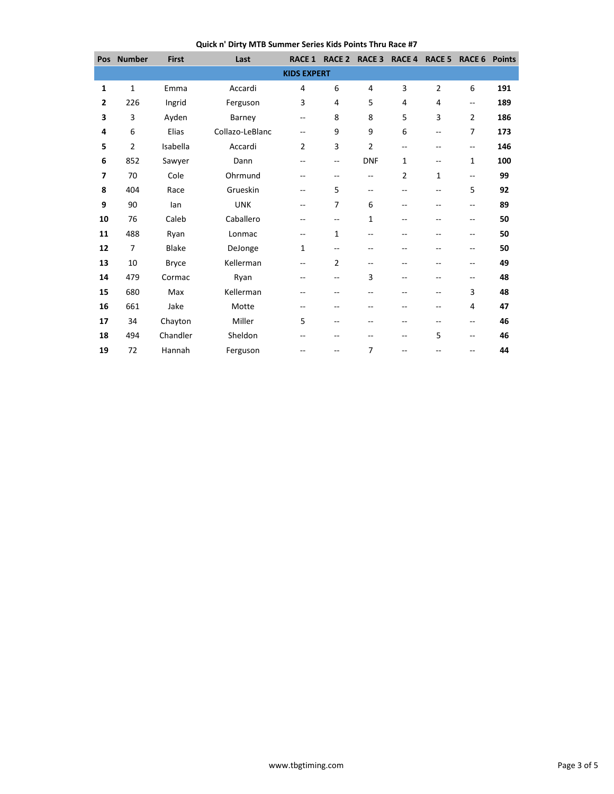**Quick n' Dirty MTB Summer Series Kids Points Thru Race #7**

| Pos                | <b>Number</b>  | <b>First</b> | Last            | <b>RACE 1</b>            | <b>RACE 2</b>            | <b>RACE 3</b>            | <b>RACE 4</b>  | <b>RACE 5</b>            | <b>RACE 6</b>            | <b>Points</b> |  |
|--------------------|----------------|--------------|-----------------|--------------------------|--------------------------|--------------------------|----------------|--------------------------|--------------------------|---------------|--|
| <b>KIDS EXPERT</b> |                |              |                 |                          |                          |                          |                |                          |                          |               |  |
| 1                  | $\mathbf{1}$   | Emma         | Accardi         | 4                        | 6                        | 4                        | 3              | $\overline{2}$           | 6                        | 191           |  |
| $\overline{2}$     | 226            | Ingrid       | Ferguson        | 3                        | 4                        | 5                        | $\overline{4}$ | 4                        | $\overline{\phantom{a}}$ | 189           |  |
| 3                  | 3              | Ayden        | Barney          | --                       | 8                        | 8                        | 5              | 3                        | $\overline{2}$           | 186           |  |
| 4                  | 6              | Elias        | Collazo-LeBlanc | --                       | 9                        | 9                        | 6              | $\overline{\phantom{a}}$ | 7                        | 173           |  |
| 5                  | $\overline{2}$ | Isabella     | Accardi         | $\overline{2}$           | 3                        | $\overline{2}$           | --             | --                       | $\overline{\phantom{a}}$ | 146           |  |
| 6                  | 852            | Sawyer       | Dann            | --                       | $\overline{\phantom{a}}$ | <b>DNF</b>               | 1              | $\overline{\phantom{a}}$ | 1                        | 100           |  |
| $\overline{7}$     | 70             | Cole         | Ohrmund         | $-$                      | $-$                      | $\overline{\phantom{a}}$ | $\overline{2}$ | 1                        | $\overline{\phantom{a}}$ | 99            |  |
| 8                  | 404            | Race         | Grueskin        | --                       | 5                        | $\overline{\phantom{a}}$ | --             | --                       | 5                        | 92            |  |
| 9                  | 90             | lan          | <b>UNK</b>      | --                       | 7                        | 6                        | --             | --                       | --                       | 89            |  |
| 10                 | 76             | Caleb        | Caballero       | --                       | $\overline{\phantom{a}}$ | 1                        | --             | $-$                      | $\overline{a}$           | 50            |  |
| 11                 | 488            | Ryan         | Lonmac          | $\overline{\phantom{a}}$ | 1                        | --                       | $-$            | $-$                      | $\overline{\phantom{a}}$ | 50            |  |
| 12                 | $\overline{7}$ | <b>Blake</b> | DeJonge         | 1                        | $\overline{a}$           | --                       | --             | --                       | $\overline{\phantom{a}}$ | 50            |  |
| 13                 | 10             | <b>Bryce</b> | Kellerman       | --                       | 2                        | --                       | --             | --                       | $\overline{\phantom{a}}$ | 49            |  |
| 14                 | 479            | Cormac       | Ryan            | --                       | --                       | 3                        | --             | --                       | --                       | 48            |  |
| 15                 | 680            | Max          | Kellerman       | --                       | --                       | --                       | --             | --                       | 3                        | 48            |  |
| 16                 | 661            | Jake         | Motte           | $-$                      | $\overline{a}$           | $-$                      | $-$            | --                       | 4                        | 47            |  |
| 17                 | 34             | Chayton      | Miller          | 5                        | $\overline{\phantom{a}}$ | --                       | --             | $-$                      | $-$                      | 46            |  |
| 18                 | 494            | Chandler     | Sheldon         | --                       | --                       | --                       | --             | 5                        | $\overline{\phantom{a}}$ | 46            |  |
| 19                 | 72             | Hannah       | Ferguson        |                          | $\overline{a}$           | 7                        | $-$            | $-$                      | $\overline{a}$           | 44            |  |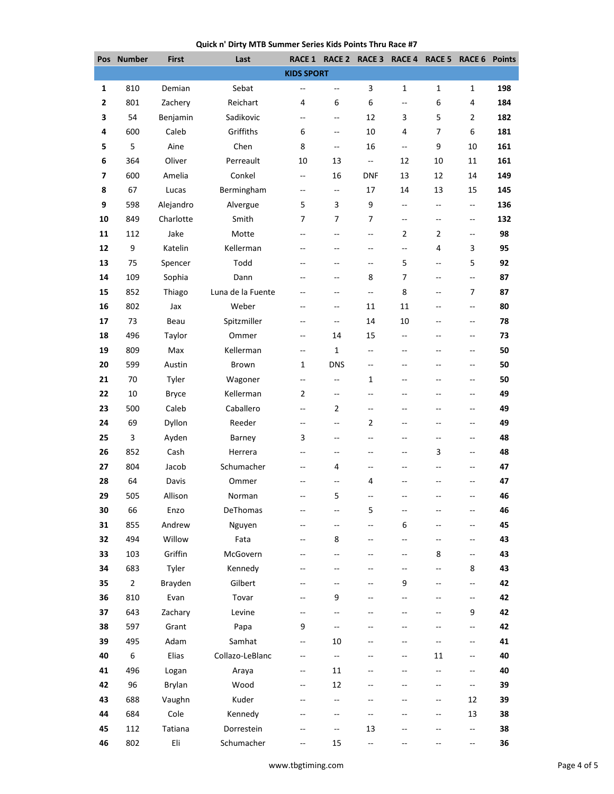## **Quick n' Dirty MTB Summer Series Kids Points Thru Race #7**

|              | Pos Number     | <b>First</b> | Last              | <b>RACE 1</b>            | RACE 2                   | RACE 3                   | <b>RACE 4</b>            | <b>RACE 5</b>  | <b>RACE 6 Points</b>     |     |
|--------------|----------------|--------------|-------------------|--------------------------|--------------------------|--------------------------|--------------------------|----------------|--------------------------|-----|
|              |                |              |                   | <b>KIDS SPORT</b>        |                          |                          |                          |                |                          |     |
| 1            | 810            | Demian       | Sebat             | --                       | $\overline{\phantom{a}}$ | 3                        | 1                        | 1              | 1                        | 198 |
| $\mathbf{2}$ | 801            | Zachery      | Reichart          | 4                        | 6                        | 6                        | --                       | 6              | 4                        | 184 |
| 3            | 54             | Benjamin     | Sadikovic         | $\overline{\phantom{a}}$ | --                       | 12                       | 3                        | 5              | $\overline{2}$           | 182 |
| 4            | 600            | Caleb        | Griffiths         | 6                        | $\overline{\phantom{a}}$ | 10                       | 4                        | 7              | 6                        | 181 |
| 5            | 5              | Aine         | Chen              | 8                        | $-$                      | 16                       | $\overline{\phantom{a}}$ | 9              | 10                       | 161 |
| 6            | 364            | Oliver       | Perreault         | 10                       | 13                       | $\sim$ $\sim$            | 12                       | 10             | 11                       | 161 |
| 7            | 600            | Amelia       | Conkel            | --                       | 16                       | <b>DNF</b>               | 13                       | 12             | 14                       | 149 |
| 8            | 67             | Lucas        | Bermingham        | --                       | $\overline{\phantom{a}}$ | 17                       | 14                       | 13             | 15                       | 145 |
| 9            | 598            | Alejandro    | Alvergue          | 5                        | 3                        | 9                        | $\overline{\phantom{a}}$ | --             | 4                        | 136 |
| 10           | 849            | Charlotte    | Smith             | 7                        | 7                        | 7                        | $-$                      | --             | --                       | 132 |
| 11           | 112            | Jake         | Motte             | --                       | --                       | $\overline{\phantom{a}}$ | $\overline{2}$           | $\overline{2}$ | --                       | 98  |
| 12           | 9              | Katelin      | Kellerman         |                          | $\overline{a}$           | $\overline{a}$           | $\overline{a}$           | 4              | 3                        | 95  |
| 13           | 75             | Spencer      | Todd              |                          | --                       | $\overline{\phantom{a}}$ | 5                        | Ξ.             | 5                        | 92  |
| 14           | 109            | Sophia       | Dann              | $-$                      | --                       | 8                        | 7                        | --             | Щ,                       | 87  |
| 15           | 852            | Thiago       | Luna de la Fuente |                          | $-$                      | $-$                      | 8                        | --             | 7                        | 87  |
| 16           | 802            | Jax          | Weber             | --                       | $-\,$                    | 11                       | 11                       | --             | --                       | 80  |
| 17           | 73             | Beau         | Spitzmiller       | $\overline{a}$           | $\overline{\phantom{a}}$ | 14                       | 10                       | $-$            | --                       | 78  |
| 18           | 496            | Taylor       | Ommer             | --                       | 14                       | 15                       | $-$                      | --             | --                       | 73  |
| 19           | 809            | Max          | Kellerman         | --                       | 1                        | $\overline{\phantom{a}}$ | $-$                      | --             | --                       | 50  |
| 20           | 599            | Austin       | Brown             | 1                        | DNS                      | $\overline{\phantom{a}}$ | $-$                      | $-$            | --                       | 50  |
| 21           | 70             | Tyler        | Wagoner           | $\overline{\phantom{a}}$ | $\overline{\phantom{a}}$ | 1                        | $\sim$                   | $-$            | --                       | 50  |
| 22           | 10             | <b>Bryce</b> | Kellerman         | $\overline{2}$           | --                       | --                       | $-$                      | --             | --                       | 49  |
| 23           | 500            | Caleb        | Caballero         | --                       | $\overline{2}$           | $\overline{\phantom{a}}$ | --                       | --             | --                       | 49  |
| 24           | 69             | Dyllon       | Reeder            | --                       | $\overline{\phantom{a}}$ | $\overline{2}$           | $-$                      | --             | $\overline{\phantom{a}}$ | 49  |
| 25           | 3              | Ayden        | Barney            | 3                        | --                       | $\overline{a}$           | --                       | --             | --                       | 48  |
| 26           | 852            | Cash         | Herrera           | $-$                      | --                       | $\overline{\phantom{a}}$ | $-$                      | 3              | --                       | 48  |
| 27           | 804            | Jacob        | Schumacher        |                          | 4                        | Щ,                       |                          | --             | $\overline{\phantom{a}}$ | 47  |
| 28           | 64             | Davis        | Ommer             | --                       | --                       | 4                        | --                       | --             | --                       | 47  |
| 29           | 505            | Allison      | Norman            | $-$                      | 5                        | $-$                      | $-$                      | --             | --                       | 46  |
| 30           | 66             | Enzo         | DeThomas          | --                       | --                       | 5                        | $\overline{\phantom{m}}$ | --             | --                       | 46  |
| 31           | 855            | Andrew       | Nguyen            |                          | --                       | Ξ.                       | 6                        | --             | --                       | 45  |
| 32           | 494            | Willow       | Fata              | --                       | 8                        | $\overline{\phantom{a}}$ | Ξ.                       | $-$            | --                       | 43  |
| 33           | 103            | Griffin      | McGovern          | Щ,                       | Щ,                       | $\overline{a}$           | $-$                      | 8              | $\overline{\phantom{a}}$ | 43  |
| 34           | 683            | Tyler        | Kennedy           |                          |                          |                          | $\overline{a}$           | $-1$           | 8                        | 43  |
| 35           | $\overline{2}$ | Brayden      | Gilbert           | --                       | --                       | --                       | 9                        | --             | Ξ.                       | 42  |
| 36           | 810            | Evan         | Tovar             | $\overline{\phantom{a}}$ | 9                        | $\overline{a}$           | $\overline{\phantom{a}}$ | --             | --                       | 42  |
| 37           | 643            | Zachary      | Levine            | --                       | $\overline{\phantom{a}}$ | --                       | $-$                      | --             | 9                        | 42  |
| 38           | 597            | Grant        | Papa              | 9                        | Щ,                       | $-$                      | $-$                      | --             | --                       | 42  |
| 39           | 495            | Adam         | Samhat            | $\overline{\phantom{a}}$ | 10                       |                          |                          | --             | $\overline{\phantom{a}}$ | 41  |
| 40           | 6              | Elias        | Collazo-LeBlanc   | --                       | Ξ.                       |                          | $-$                      | 11             | $\overline{\phantom{a}}$ | 40  |
| 41           | 496            | Logan        | Araya             | --                       | 11                       | --                       | $-$                      | --             | --                       | 40  |
| 42           | 96             | Brylan       | Wood              | --                       | 12                       | $\overline{\phantom{a}}$ | $\overline{\phantom{m}}$ | --             | --                       | 39  |
| 43           | 688            | Vaughn       | Kuder             |                          | $\overline{\phantom{a}}$ |                          |                          | --             | 12                       | 39  |
| 44           | 684            | Cole         | Kennedy           |                          | --                       | --                       |                          | --             | 13                       | 38  |
| 45           | 112            | Tatiana      | Dorrestein        | --                       | --                       | 13                       | $-$                      | --             | --                       | 38  |
| 46           | 802            | Eli          | Schumacher        | --                       | 15                       | $\overline{a}$           |                          |                | 44                       | 36  |